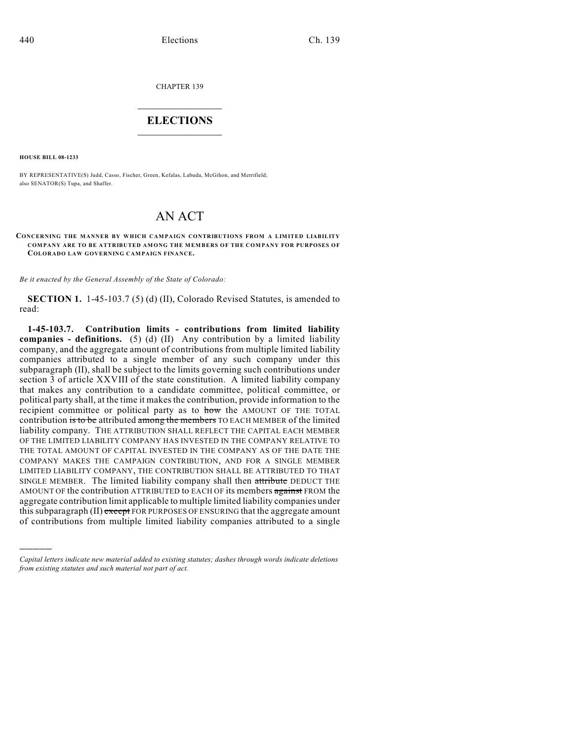CHAPTER 139

## $\overline{\phantom{a}}$  . The set of the set of the set of the set of the set of the set of the set of the set of the set of the set of the set of the set of the set of the set of the set of the set of the set of the set of the set o **ELECTIONS**  $\_$

**HOUSE BILL 08-1233**

)))))

BY REPRESENTATIVE(S) Judd, Casso, Fischer, Green, Kefalas, Labuda, McGihon, and Merrifield; also SENATOR(S) Tupa, and Shaffer.

## AN ACT

## **CONCERNING THE MANNER BY WHICH CAMPAIGN CONTRIBUTIONS FROM A LIMITED LIABILITY COMPANY ARE TO BE ATTRIBUTED AMONG THE MEMBERS OF THE COMPANY FOR PURPOSES OF COLORADO LAW GOVERNING CAMPAIGN FINANCE.**

*Be it enacted by the General Assembly of the State of Colorado:*

**SECTION 1.** 1-45-103.7 (5) (d) (II), Colorado Revised Statutes, is amended to read:

**1-45-103.7. Contribution limits - contributions from limited liability companies - definitions.** (5) (d) (II) Any contribution by a limited liability company, and the aggregate amount of contributions from multiple limited liability companies attributed to a single member of any such company under this subparagraph (II), shall be subject to the limits governing such contributions under section 3 of article XXVIII of the state constitution. A limited liability company that makes any contribution to a candidate committee, political committee, or political party shall, at the time it makes the contribution, provide information to the recipient committee or political party as to how the AMOUNT OF THE TOTAL contribution is to be attributed among the members TO EACH MEMBER of the limited liability company. THE ATTRIBUTION SHALL REFLECT THE CAPITAL EACH MEMBER OF THE LIMITED LIABILITY COMPANY HAS INVESTED IN THE COMPANY RELATIVE TO THE TOTAL AMOUNT OF CAPITAL INVESTED IN THE COMPANY AS OF THE DATE THE COMPANY MAKES THE CAMPAIGN CONTRIBUTION, AND FOR A SINGLE MEMBER LIMITED LIABILITY COMPANY, THE CONTRIBUTION SHALL BE ATTRIBUTED TO THAT SINGLE MEMBER. The limited liability company shall then attribute DEDUCT THE AMOUNT OF the contribution ATTRIBUTED to EACH OF its members against FROM the aggregate contribution limit applicable to multiple limited liability companies under this subparagraph (II) except FOR PURPOSES OF ENSURING that the aggregate amount of contributions from multiple limited liability companies attributed to a single

*Capital letters indicate new material added to existing statutes; dashes through words indicate deletions from existing statutes and such material not part of act.*